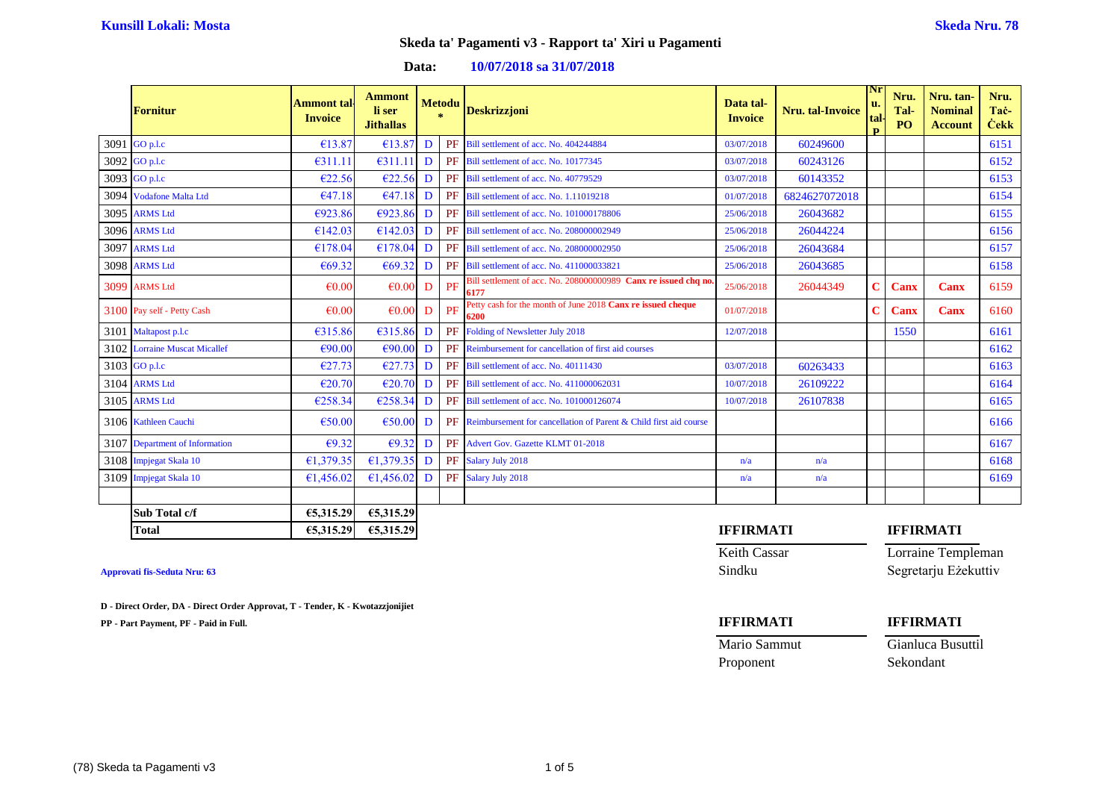## **Data: 10/07/2018 sa 31/07/2018**

|      | <b>Fornitur</b>                  | Ammont tal·<br><b>Invoice</b> | <b>Ammont</b><br>li ser<br><b>Jithallas</b> |   | <b>Metodu</b><br>$\mathcal{R}$ | <b>Deskrizzjoni</b>                                                     | Data tal-<br><b>Invoice</b> | Nru. tal-Invoice | tal | Nru.<br>Tal-<br>P <sub>O</sub> | Nru. tan-<br><b>Nominal</b><br><b>Account</b> | Nru.<br>Tac-<br><b>Cekk</b> |
|------|----------------------------------|-------------------------------|---------------------------------------------|---|--------------------------------|-------------------------------------------------------------------------|-----------------------------|------------------|-----|--------------------------------|-----------------------------------------------|-----------------------------|
| 3091 | GO p.l.c                         | €13.87                        | €13.87                                      | D | PF                             | Bill settlement of acc. No. 404244884                                   | 03/07/2018                  | 60249600         |     |                                |                                               | 6151                        |
| 3092 | GO p.l.c                         | €311.11                       | €311.11                                     | D | PF                             | Bill settlement of acc. No. 10177345                                    | 03/07/2018                  | 60243126         |     |                                |                                               | 6152                        |
| 3093 | GO p.l.c                         | €22.56                        | €22.56                                      | D | PF                             | Bill settlement of acc. No. 40779529                                    | 03/07/2018                  | 60143352         |     |                                |                                               | 6153                        |
| 3094 | <b>Vodafone Malta Ltd</b>        | €47.18                        | 647.18                                      | D | PF                             | Bill settlement of acc. No. 1.11019218                                  | 01/07/2018                  | 6824627072018    |     |                                |                                               | 6154                        |
| 3095 | <b>ARMS Ltd</b>                  | €923.86                       | €923.86                                     | D | PF                             | Bill settlement of acc. No. 101000178806                                | 25/06/2018                  | 26043682         |     |                                |                                               | 6155                        |
| 3096 | <b>ARMS Ltd</b>                  | €142.03                       | €142.03                                     | D | PF                             | Bill settlement of acc. No. 208000002949                                | 25/06/2018                  | 26044224         |     |                                |                                               | 6156                        |
| 3097 | <b>ARMS Ltd</b>                  | €178.04                       | €178.04                                     | D | PF                             | Bill settlement of acc. No. 208000002950                                | 25/06/2018                  | 26043684         |     |                                |                                               | 6157                        |
| 3098 | <b>ARMS Ltd</b>                  | €69.32                        | €69.32                                      | D | PF                             | Bill settlement of acc. No. 411000033821                                | 25/06/2018                  | 26043685         |     |                                |                                               | 6158                        |
| 3099 | <b>ARMS Ltd</b>                  | €0.00                         | €0.00                                       | D | PF                             | Bill settlement of acc. No. 208000000989 Canx re issued chq no.<br>6177 | 25/06/2018                  | 26044349         |     | Canx                           | <b>Canx</b>                                   | 6159                        |
|      | 3100 Pay self - Petty Cash       | €0.00                         | €0.00                                       | D | PF                             | Petty cash for the month of June 2018 Canx re issued cheque<br>6200     | 01/07/2018                  |                  |     | <b>Canx</b>                    | <b>Canx</b>                                   | 6160                        |
| 3101 | Maltapost p.l.c                  | €315.86                       | €315.86                                     | D | PF                             | <b>Folding of Newsletter July 2018</b>                                  | 12/07/2018                  |                  |     | 1550                           |                                               | 6161                        |
| 3102 | <b>Lorraine Muscat Micallef</b>  | €90.00                        | €90.00                                      | D | PF                             | Reimbursement for cancellation of first aid courses                     |                             |                  |     |                                |                                               | 6162                        |
| 3103 | GO p.l.c                         | E27.73                        | E27.73                                      | D | PF                             | Bill settlement of acc. No. 40111430                                    | 03/07/2018                  | 60263433         |     |                                |                                               | 6163                        |
| 3104 | <b>ARMS Ltd</b>                  | €20.70                        | $\epsilon$ 20.70 D                          |   | PF                             | Bill settlement of acc. No. 411000062031                                | 10/07/2018                  | 26109222         |     |                                |                                               | 6164                        |
| 3105 | <b>ARMS Ltd</b>                  | €258.34                       | €258.34                                     | D | PF                             | Bill settlement of acc. No. 101000126074                                | 10/07/2018                  | 26107838         |     |                                |                                               | 6165                        |
|      | 3106 Kathleen Cauchi             | €50.00                        | €50.00                                      | D | PF                             | Reimbursement for cancellation of Parent & Child first aid course       |                             |                  |     |                                |                                               | 6166                        |
| 3107 | <b>Department of Information</b> | €9.32                         | E9.32                                       | D | PF                             | <b>Advert Gov. Gazette KLMT 01-2018</b>                                 |                             |                  |     |                                |                                               | 6167                        |
|      | 3108 Impjegat Skala 10           | 61,379.35                     | $E1.379.35$ D                               |   | PF                             | Salary July 2018                                                        | n/a                         | n/a              |     |                                |                                               | 6168                        |
|      | 3109 Impjegat Skala 10           | €1,456.02                     | $61,456.02$ D                               |   |                                | PF Salary July 2018                                                     | n/a                         | n/a              |     |                                |                                               | 6169                        |
|      |                                  |                               |                                             |   |                                |                                                                         |                             |                  |     |                                |                                               |                             |
|      | Sub Total c/f                    | €5,315.29                     | €5,315.29                                   |   |                                |                                                                         |                             |                  |     |                                |                                               |                             |
|      | <b>Total</b>                     | €5,315.29                     | €5,315.29                                   |   |                                |                                                                         | <b>IFFIRMATI</b>            |                  |     |                                | <b>IFFIRMATI</b>                              |                             |

**D - Direct Order, DA - Direct Order Approvat, T - Tender, K - Kwotazzjonijiet**

**PP - Part Payment, PF - Paid in Full. IFFIRMATI IFFIRMATI**

Keith Cassar **Lorraine Templeman** Approvati fis-Seduta Nru: 63<br>Sindku Segretarju Eżekuttiv

Proponent Sekondant

Mario Sammut Gianluca Busuttil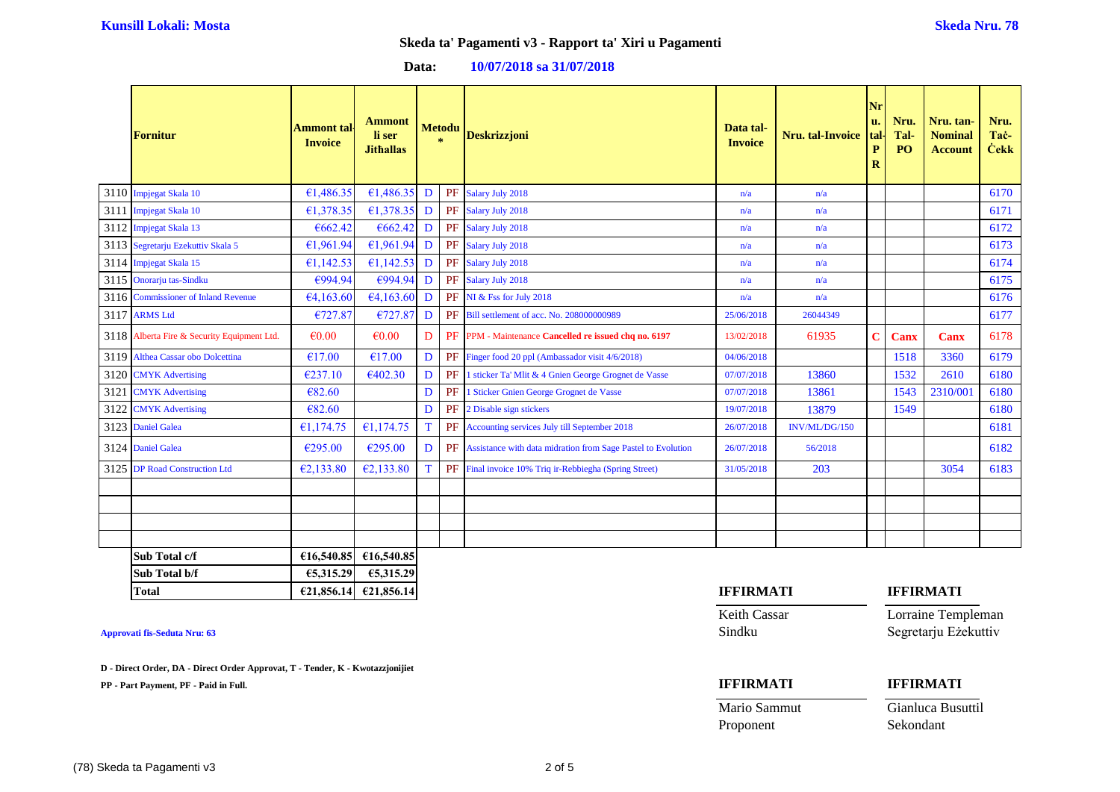## **Data: 10/07/2018 sa 31/07/2018**

|      | <b>Fornitur</b>                             | <b>Ammont tal-</b><br><b>Invoice</b> | <b>Ammont</b><br>li ser<br><b>Jithallas</b> |   |    | Metodu Deskrizzjoni                                             | Data tal-<br><b>Invoice</b> | Nru. tal-Invoice | Nr<br>u.<br>tal-<br>$\mathbf{P}$<br>$\mathbf R$ | Nru.<br>Tal-<br>PO <sub>1</sub> | Nru. tan-<br><b>Nominal</b><br><b>Account</b> | Nru.<br>Tac-<br><b>Cekk</b> |
|------|---------------------------------------------|--------------------------------------|---------------------------------------------|---|----|-----------------------------------------------------------------|-----------------------------|------------------|-------------------------------------------------|---------------------------------|-----------------------------------------------|-----------------------------|
|      | 3110 Impjegat Skala 10                      | €1,486.35                            | $61,486.35$ D                               |   |    | PF Salary July 2018                                             | n/a                         | n/a              |                                                 |                                 |                                               | 6170                        |
| 3111 | <b>Impjegat Skala 10</b>                    | €1,378.35                            | $61,378.35$ D                               |   |    | PF Salary July 2018                                             | n/a                         | n/a              |                                                 |                                 |                                               | 6171                        |
|      | 3112 Impjegat Skala 13                      | €662.42                              | $6662.42$ D                                 |   |    | PF Salary July 2018                                             | n/a                         | n/a              |                                                 |                                 |                                               | 6172                        |
|      | 3113 Segretarju Ezekuttiv Skala 5           | £1,961.94                            | $E1,961.94$ D                               |   |    | PF Salary July 2018                                             | n/a                         | n/a              |                                                 |                                 |                                               | 6173                        |
|      | 3114 Impjegat Skala 15                      | 61,142.53                            | $61,142.53$ D                               |   |    | PF Salary July 2018                                             | n/a                         | n/a              |                                                 |                                 |                                               | 6174                        |
|      | 3115 Onorarju tas-Sindku                    | €994.94                              | $E994.94$ D                                 |   |    | PF Salary July 2018                                             | n/a                         | n/a              |                                                 |                                 |                                               | 6175                        |
|      | 3116 Commissioner of Inland Revenue         | 64,163.60                            | $64,163.60$ D                               |   |    | PF NI & Fss for July 2018                                       | n/a                         | n/a              |                                                 |                                 |                                               | 6176                        |
|      | 3117 ARMS Ltd                               | €727.87                              | €727.87                                     | D |    | PF Bill settlement of acc. No. 208000000989                     | 25/06/2018                  | 26044349         |                                                 |                                 |                                               | 6177                        |
|      | 3118 Alberta Fire & Security Equipment Ltd. | $\epsilon$ 0.00                      | €0.00                                       | D |    | PF PPM - Maintenance Cancelled re issued chq no. 6197           | 13/02/2018                  | 61935            | $\mathbf C$                                     | Canx                            | <b>Canx</b>                                   | 6178                        |
|      | 3119 Althea Cassar obo Dolcettina           | €17.00                               | €17.00                                      | D | PF | Finger food 20 ppl (Ambassador visit 4/6/2018)                  | 04/06/2018                  |                  |                                                 | 1518                            | 3360                                          | 6179                        |
|      | 3120 CMYK Advertising                       | €237.10                              | €402.30                                     | D |    | PF 1 sticker Ta' Mlit & 4 Gnien George Grognet de Vasse         | 07/07/2018                  | 13860            |                                                 | 1532                            | 2610                                          | 6180                        |
| 3121 | <b>CMYK</b> Advertising                     | €82.60                               |                                             | D | PF | 1 Sticker Gnien George Grognet de Vasse                         | 07/07/2018                  | 13861            |                                                 | 1543                            | 2310/001                                      | 6180                        |
|      | 3122 CMYK Advertising                       | €82.60                               |                                             | D | PF | 2 Disable sign stickers                                         | 19/07/2018                  | 13879            |                                                 | 1549                            |                                               | 6180                        |
|      | 3123 Daniel Galea                           | €1,174.75                            | €1,174.75                                   | T |    | PF Accounting services July till September 2018                 | 26/07/2018                  | INV/ML/DG/150    |                                                 |                                 |                                               | 6181                        |
|      | 3124 Daniel Galea                           | €295.00                              | €295.00                                     | D |    | PF Assistance with data midration from Sage Pastel to Evolution | 26/07/2018                  | 56/2018          |                                                 |                                 |                                               | 6182                        |
|      | 3125 DP Road Construction Ltd               | E2,133.80                            | E2,133.80                                   |   |    | PF Final invoice 10% Triq ir-Rebbiegha (Spring Street)          | 31/05/2018                  | 203              |                                                 |                                 | 3054                                          | 6183                        |
|      |                                             |                                      |                                             |   |    |                                                                 |                             |                  |                                                 |                                 |                                               |                             |
|      |                                             |                                      |                                             |   |    |                                                                 |                             |                  |                                                 |                                 |                                               |                             |
|      |                                             |                                      |                                             |   |    |                                                                 |                             |                  |                                                 |                                 |                                               |                             |
|      |                                             |                                      |                                             |   |    |                                                                 |                             |                  |                                                 |                                 |                                               |                             |
|      | Sub Total c/f                               | €16,540.85                           | €16,540.85                                  |   |    |                                                                 |                             |                  |                                                 |                                 |                                               |                             |
|      | Sub Total b/f                               | €5,315.29                            | €5,315.29                                   |   |    |                                                                 |                             |                  |                                                 |                                 |                                               |                             |

**D - Direct Order, DA - Direct Order Approvat, T - Tender, K - Kwotazzjonijiet**

**PP - Part Payment, PF - Paid in Full. IFFIRMATI IFFIRMATI**

# **Total €21,856.14 €21,856.14 IFFIRMATI IFFIRMATI** Keith Cassar **Lorraine Templeman** Approvati fis-Seduta Nru: 63 Segretarju Eżekuttiv

Proponent Sekondant

Mario Sammut Gianluca Busuttil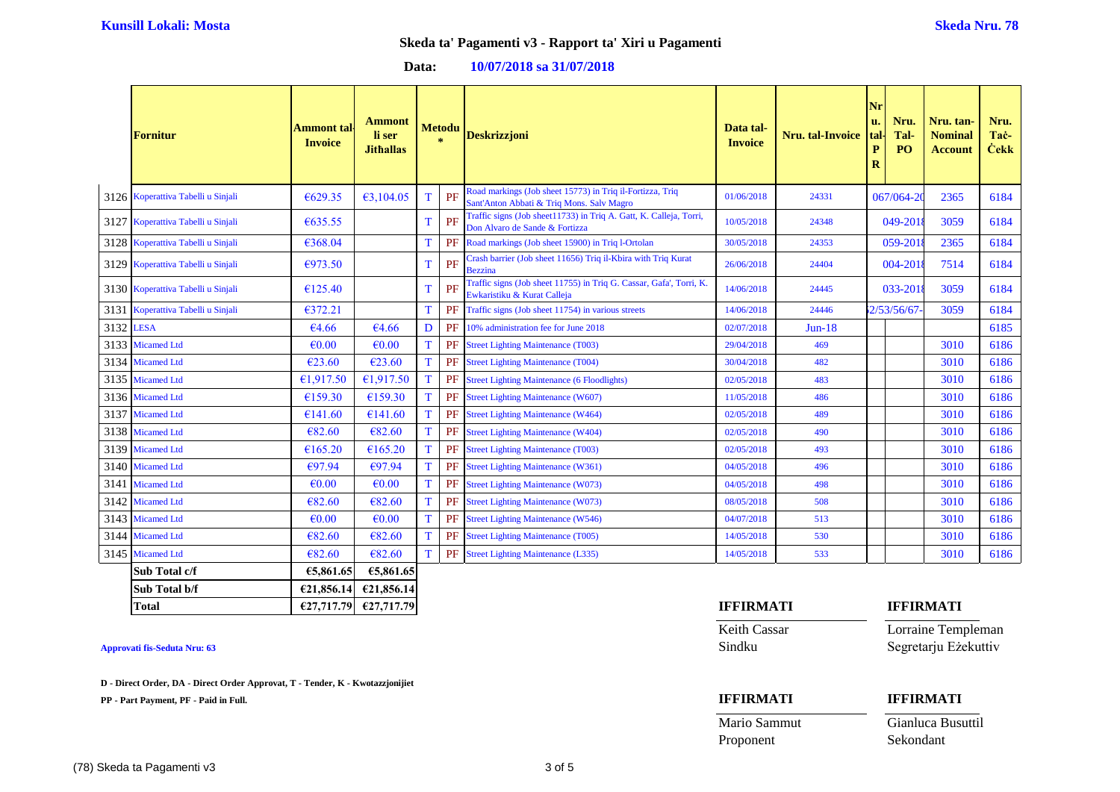## **Data: 10/07/2018 sa 31/07/2018**

|           | <b>Fornitur</b>                    | <b>Ammont tal-</b><br><b>Invoice</b> | <b>Ammont</b><br>li ser<br><b>Jithallas</b> |             | <b>Metodu</b><br>$\mathbf{R}$ | <b>Deskrizzjoni</b>                                                                                    | Data tal-<br><b>Invoice</b> | Nru. tal-Invoice | Nr<br>u.<br>tal-<br>P<br>$\mathbf R$ | Nru.<br>Tal-<br>P <sub>O</sub> | Nru. tan-<br><b>Nominal</b><br><b>Account</b> | Nru.<br>Tac-<br><b>Čekk</b> |
|-----------|------------------------------------|--------------------------------------|---------------------------------------------|-------------|-------------------------------|--------------------------------------------------------------------------------------------------------|-----------------------------|------------------|--------------------------------------|--------------------------------|-----------------------------------------------|-----------------------------|
|           | 3126 Koperattiva Tabelli u Sinjali | €629.35                              | 63,104.05                                   | т           | PF                            | Road markings (Job sheet 15773) in Triq il-Fortizza, Triq<br>Sant'Anton Abbati & Triq Mons. Salv Magro | 01/06/2018                  | 24331            |                                      | 067/064-20                     | 2365                                          | 6184                        |
|           | 3127 Koperattiva Tabelli u Sinjali | €635.55                              |                                             | T           | PF                            | Traffic signs (Job sheet11733) in Triq A. Gatt, K. Calleja, Torri,<br>Don Alvaro de Sande & Fortizza   | 10/05/2018                  | 24348            |                                      | 049-201                        | 3059                                          | 6184                        |
|           | 3128 Koperattiva Tabelli u Sinjali | €368.04                              |                                             | T           | PF                            | Road markings (Job sheet 15900) in Triq l-Ortolan                                                      | 30/05/2018                  | 24353            |                                      | 059-201                        | 2365                                          | 6184                        |
|           | 3129 Koperattiva Tabelli u Sinjali | €973.50                              |                                             | T           | PF                            | Crash barrier (Job sheet 11656) Triq il-Kbira with Triq Kurat<br><b>Bezzina</b>                        | 26/06/2018                  | 24404            |                                      | 004-201                        | 7514                                          | 6184                        |
|           | 3130 Koperattiva Tabelli u Sinjali | €125.40                              |                                             | T           | PF                            | Traffic signs (Job sheet 11755) in Triq G. Cassar, Gafa', Torri, K.<br>Ewkaristiku & Kurat Calleja     | 14/06/2018                  | 24445            |                                      | 033-201                        | 3059                                          | 6184                        |
|           | 3131 Koperattiva Tabelli u Sinjali | 6372.21                              |                                             | T           | PF                            | Traffic signs (Job sheet 11754) in various streets                                                     | 14/06/2018                  | 24446            |                                      | 2/53/56/67                     | 3059                                          | 6184                        |
| 3132 LESA |                                    | €4.66                                | €4.66                                       | D           | PF                            | 10% administration fee for June 2018                                                                   | 02/07/2018                  | $Jun-18$         |                                      |                                |                                               | 6185                        |
|           | 3133 Micamed Ltd                   | $\epsilon$ <sub>0.00</sub>           | €0.00                                       | T           | PF                            | <b>Street Lighting Maintenance (T003)</b>                                                              | 29/04/2018                  | 469              |                                      |                                | 3010                                          | 6186                        |
|           | 3134 Micamed Ltd                   | €23.60                               | €23.60                                      | T           |                               | PF Street Lighting Maintenance (T004)                                                                  | 30/04/2018                  | 482              |                                      |                                | 3010                                          | 6186                        |
|           | 3135 Micamed Ltd                   | €1,917.50                            | £1,917.50                                   | T           | PF                            | <b>Street Lighting Maintenance (6 Floodlights)</b>                                                     | 02/05/2018                  | 483              |                                      |                                | 3010                                          | 6186                        |
|           | 3136 Micamed Ltd                   | €159.30                              | €159.30                                     | $\mathbf T$ | PF                            | <b>Street Lighting Maintenance (W607)</b>                                                              | 11/05/2018                  | 486              |                                      |                                | 3010                                          | 6186                        |
|           | 3137 Micamed Ltd                   | €141.60                              | €141.60                                     | T           | PF                            | <b>Street Lighting Maintenance (W464)</b>                                                              | 02/05/2018                  | 489              |                                      |                                | 3010                                          | 6186                        |
|           | 3138 Micamed Ltd                   | €82.60                               | €82.60                                      | $\mathbf T$ | PF                            | <b>Street Lighting Maintenance (W404)</b>                                                              | 02/05/2018                  | 490              |                                      |                                | 3010                                          | 6186                        |
|           | 3139 Micamed Ltd                   | €165.20                              | €165.20                                     | T           | PF                            | <b>Street Lighting Maintenance (T003)</b>                                                              | 02/05/2018                  | 493              |                                      |                                | 3010                                          | 6186                        |
|           | 3140 Micamed Ltd                   | €97.94                               | €97.94                                      | $\mathbf T$ | PF                            | <b>Street Lighting Maintenance (W361)</b>                                                              | 04/05/2018                  | 496              |                                      |                                | 3010                                          | 6186                        |
|           | 3141 Micamed Ltd                   | €0.00                                | $\epsilon$ <sub>0.00</sub>                  | T           | PF                            | <b>Street Lighting Maintenance (W073)</b>                                                              | 04/05/2018                  | 498              |                                      |                                | 3010                                          | 6186                        |
|           | 3142 Micamed Ltd                   | €82.60                               | €82.60                                      | T           | PF                            | <b>Street Lighting Maintenance (W073)</b>                                                              | 08/05/2018                  | 508              |                                      |                                | 3010                                          | 6186                        |
|           | 3143 Micamed Ltd                   | $\epsilon$ 0.00                      | $\epsilon$ <sub>0.00</sub>                  | T           | PF                            | <b>Street Lighting Maintenance (W546)</b>                                                              | 04/07/2018                  | 513              |                                      |                                | 3010                                          | 6186                        |
|           | 3144 Micamed Ltd                   | €82.60                               | €82.60                                      | T           | PF                            | <b>Street Lighting Maintenance (T005)</b>                                                              | 14/05/2018                  | 530              |                                      |                                | 3010                                          | 6186                        |
|           | 3145 Micamed Ltd                   | €82.60                               | €82.60                                      | T           |                               | PF Street Lighting Maintenance (L335)                                                                  | 14/05/2018                  | 533              |                                      |                                | 3010                                          | 6186                        |
|           | Sub Total c/f                      | €5,861.65                            | €5,861.65                                   |             |                               |                                                                                                        |                             |                  |                                      |                                |                                               |                             |
|           | Sub Total b/f                      | €21,856.14                           | €21,856.14                                  |             |                               |                                                                                                        |                             |                  |                                      |                                |                                               |                             |

**D - Direct Order, DA - Direct Order Approvat, T - Tender, K - Kwotazzjonijiet**

**PP - Part Payment, PF - Paid in Full. IFFIRMATI IFFIRMATI**

## **Total €27,717.79 €27,717.79 IFFIRMATI IFFIRMATI**

Keith Cassar **Lorraine Templeman** Approvati fis-Seduta Nru: 63 Segretarju Eżekuttiv

Mario Sammut Gianluca Busuttil Proponent Sekondant

(78) Skeda ta Pagamenti v3 3 of 5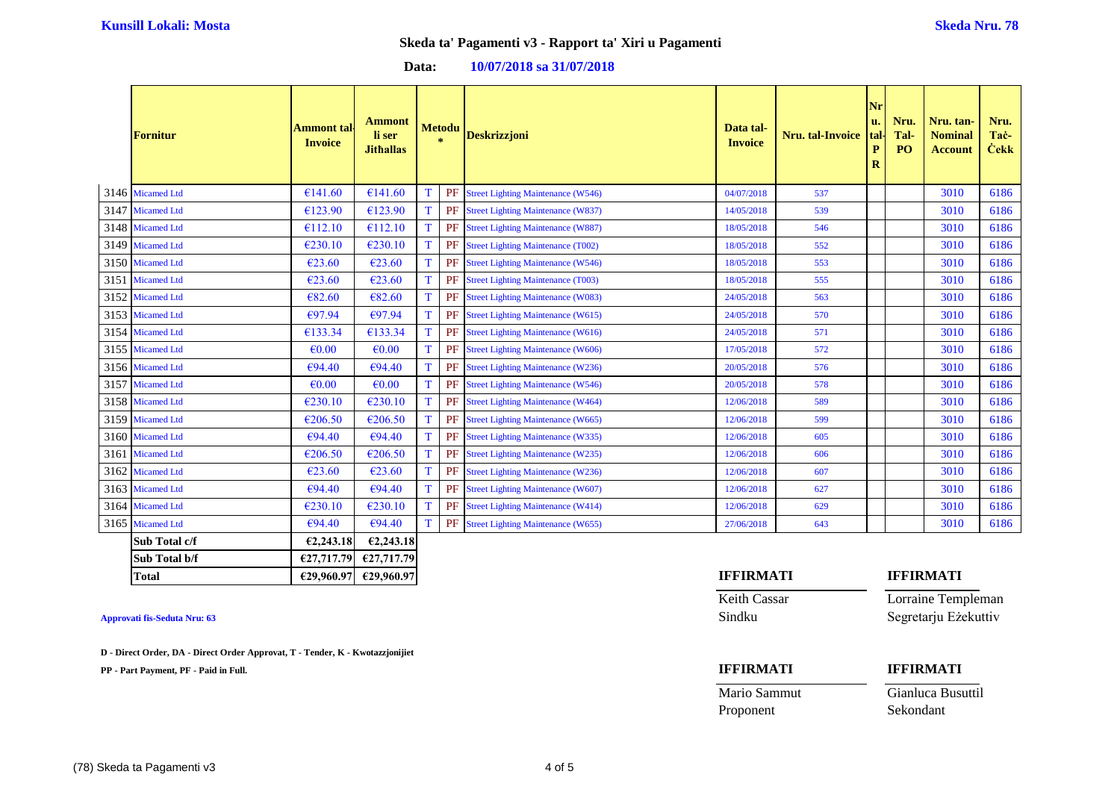## **Data: 10/07/2018 sa 31/07/2018**

|      | <b>Fornitur</b>    | <b>Ammont tal-</b><br><b>Invoice</b> | <b>Ammont</b><br>li ser<br><b>Jithallas</b> |             | <b>Metodu</b><br>$\star$ | <b>Deskrizzjoni</b>                       | Data tal-<br><b>Invoice</b> | Nru. tal-Invoice | Nr<br>u.<br>tal-<br>$\bf P$<br>$\mathbf R$ | Nru.<br>Tal-<br>P <sub>O</sub> | Nru. tan-<br><b>Nominal</b><br><b>Account</b> | Nru.<br>Tac-<br><b>Cekk</b> |
|------|--------------------|--------------------------------------|---------------------------------------------|-------------|--------------------------|-------------------------------------------|-----------------------------|------------------|--------------------------------------------|--------------------------------|-----------------------------------------------|-----------------------------|
|      | 3146 Micamed Ltd   | €141.60                              | €141.60                                     | T           | PF                       | <b>Street Lighting Maintenance (W546)</b> | 04/07/2018                  | 537              |                                            |                                | 3010                                          | 6186                        |
|      | 3147 Micamed Ltd   | €123.90                              | €123.90                                     | $\mathbf T$ | PF                       | <b>Street Lighting Maintenance (W837)</b> | 14/05/2018                  | 539              |                                            |                                | 3010                                          | 6186                        |
|      | 3148 Micamed Ltd   | €112.10                              | €112.10                                     | T           | PF                       | <b>Street Lighting Maintenance (W887)</b> | 18/05/2018                  | 546              |                                            |                                | 3010                                          | 6186                        |
|      | 3149 Micamed Ltd   | €230.10                              | €230.10                                     | T           | PF                       | <b>Street Lighting Maintenance (T002)</b> | 18/05/2018                  | 552              |                                            |                                | 3010                                          | 6186                        |
|      | 3150 Micamed Ltd   | €23.60                               | €23.60                                      | T           | PF                       | <b>Street Lighting Maintenance (W546)</b> | 18/05/2018                  | 553              |                                            |                                | 3010                                          | 6186                        |
|      | 3151 Micamed Ltd   | €23.60                               | €23.60                                      | T           | PF                       | <b>Street Lighting Maintenance (T003)</b> | 18/05/2018                  | 555              |                                            |                                | 3010                                          | 6186                        |
|      | 3152 Micamed Ltd   | €82.60                               | €82.60                                      | T           | PF                       | <b>Street Lighting Maintenance (W083)</b> | 24/05/2018                  | 563              |                                            |                                | 3010                                          | 6186                        |
|      | 3153 Micamed Ltd   | €97.94                               | €97.94                                      | T           | PF                       | <b>Street Lighting Maintenance (W615)</b> | 24/05/2018                  | 570              |                                            |                                | 3010                                          | 6186                        |
|      | 3154 Micamed Ltd   | €133.34                              | €133.34                                     | T           | PF                       | <b>Street Lighting Maintenance (W616)</b> | 24/05/2018                  | 571              |                                            |                                | 3010                                          | 6186                        |
|      | 3155 Micamed Ltd   | €0.00                                | $\epsilon$ <sub>0.00</sub>                  | T           | PF                       | <b>Street Lighting Maintenance (W606)</b> | 17/05/2018                  | 572              |                                            |                                | 3010                                          | 6186                        |
|      | 3156 Micamed Ltd   | €94.40                               | €94.40                                      | T           | PF                       | <b>Street Lighting Maintenance (W236)</b> | 20/05/2018                  | 576              |                                            |                                | 3010                                          | 6186                        |
|      | 3157 Micamed Ltd   | €0.00                                | $\epsilon$ <sub>0.00</sub>                  | T           | PF                       | <b>Street Lighting Maintenance (W546)</b> | 20/05/2018                  | 578              |                                            |                                | 3010                                          | 6186                        |
|      | 3158 Micamed Ltd   | €230.10                              | $\epsilon$ 230.10                           | T           | PF                       | <b>Street Lighting Maintenance (W464)</b> | 12/06/2018                  | 589              |                                            |                                | 3010                                          | 6186                        |
| 3159 | <b>Micamed Ltd</b> | €206.50                              | €206.50                                     | T           | PF                       | <b>Street Lighting Maintenance (W665)</b> | 12/06/2018                  | 599              |                                            |                                | 3010                                          | 6186                        |
|      | 3160 Micamed Ltd   | $\epsilon$ 94.40                     | E94.40                                      | T           | PF                       | <b>Street Lighting Maintenance (W335)</b> | 12/06/2018                  | 605              |                                            |                                | 3010                                          | 6186                        |
| 3161 | <b>Micamed Ltd</b> | €206.50                              | €206.50                                     | T           | PF                       | <b>Street Lighting Maintenance (W235)</b> | 12/06/2018                  | 606              |                                            |                                | 3010                                          | 6186                        |
| 3162 | <b>Micamed Ltd</b> | €23.60                               | €23.60                                      | T           | PF                       | <b>Street Lighting Maintenance (W236)</b> | 12/06/2018                  | 607              |                                            |                                | 3010                                          | 6186                        |
|      | 3163 Micamed Ltd   | €94.40                               | €94.40                                      | T           | PF                       | <b>Street Lighting Maintenance (W607)</b> | 12/06/2018                  | 627              |                                            |                                | 3010                                          | 6186                        |
|      | 3164 Micamed Ltd   | €230.10                              | €230.10                                     | T           | PF                       | <b>Street Lighting Maintenance (W414)</b> | 12/06/2018                  | 629              |                                            |                                | 3010                                          | 6186                        |
|      | 3165 Micamed Ltd   | €94.40                               | €94.40                                      | T           | PF                       | <b>Street Lighting Maintenance (W655)</b> | 27/06/2018                  | 643              |                                            |                                | 3010                                          | 6186                        |
|      | Sub Total c/f      | €2,243.18                            | E2,243.18                                   |             |                          |                                           |                             |                  |                                            |                                |                                               |                             |
|      | Sub Total b/f      | E27,717.79                           | £27,717.79                                  |             |                          |                                           |                             |                  |                                            |                                |                                               |                             |

## Approvati fis-Seduta Nru: 63 Segretarju Eżekuttiv

**D - Direct Order, DA - Direct Order Approvat, T - Tender, K - Kwotazzjonijiet PP - Part Payment, PF - Paid in Full. IFFIRMATI IFFIRMATI**

## **Total €29,960.97 €29,960.97 IFFIRMATI IFFIRMATI**

Keith Cassar **Lorraine Templeman** 

Mario Sammut Gianluca Busuttil Proponent Sekondant